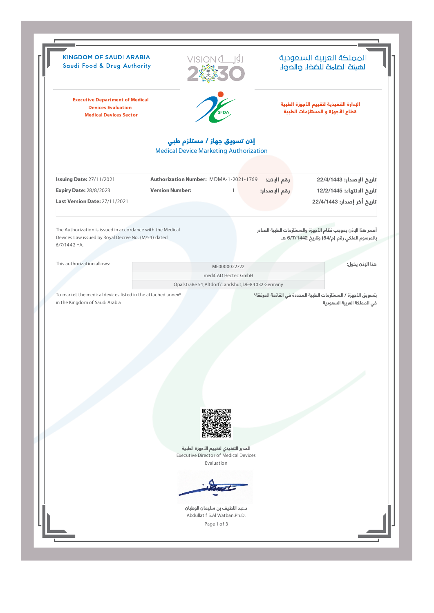|                                                                                                                                   | <b>KINGDOM OF SAUDI ARABIA</b><br>VISION <sub>a</sub><br>Saudi Food & Drug Authority |                                                                                                     |              | المملكة العربية السعودية<br>الهيئة الصامة للضخاء والحواء                                                      |
|-----------------------------------------------------------------------------------------------------------------------------------|--------------------------------------------------------------------------------------|-----------------------------------------------------------------------------------------------------|--------------|---------------------------------------------------------------------------------------------------------------|
| <b>Executive Department of Medical</b><br><b>Devices Evaluation</b><br><b>Medical Devices Sector</b>                              |                                                                                      | <b>SFDA</b>                                                                                         |              | الإدارة التنفيذية لتقييم الأجهزة الطبية<br>قطاع الأجهزة و المستلزمات الطبية                                   |
|                                                                                                                                   | إذن تسويق جهاز / مستلزم طبي<br><b>Medical Device Marketing Authorization</b>         |                                                                                                     |              |                                                                                                               |
| <b>Issuing Date: 27/11/2021</b>                                                                                                   | Authorization Number: MDMA-1-2021-1769                                               |                                                                                                     | رقم الإذن:   | تاريخ الإصدار: 22/4/1443                                                                                      |
| <b>Expiry Date: 28/8/2023</b><br><b>Last Version Date: 27/11/2021</b>                                                             | <b>Version Number:</b>                                                               |                                                                                                     | رقم الإصدار: | تاريخ الانتهاء: 12/2/1445<br>تاريخ أخر إصدار: 22/4/1443                                                       |
| The Authorization is issued in accordance with the Medical<br>Devices Law issued by Royal Decree No. (M/54) dated<br>6/7/1442 HA, |                                                                                      |                                                                                                     |              | أصدر هذا الإذن بموجب نظام الأجهزة والمستلزمات الطبية الصادر<br>بالمرسوم الملكي رقم (م/54) وتاريخ 6/7/1442 هـ. |
| This authorization allows:                                                                                                        |                                                                                      | ME0000022722                                                                                        |              | هذا الإذن يخول:                                                                                               |
|                                                                                                                                   |                                                                                      | mediCAD Hectec GmbH                                                                                 |              |                                                                                                               |
| To market the medical devices listed in the attached annex*<br>in the Kingdom of Saudi Arabia                                     |                                                                                      |                                                                                                     |              |                                                                                                               |
|                                                                                                                                   |                                                                                      |                                                                                                     |              | بتسويق الأجهزة / المستلزمات الطبية المحددة في القائمة المرفقة*<br>في المملكة العربية السعودية                 |
|                                                                                                                                   |                                                                                      |                                                                                                     |              |                                                                                                               |
|                                                                                                                                   |                                                                                      |                                                                                                     |              |                                                                                                               |
|                                                                                                                                   |                                                                                      | المدير التنفيذي لتقييم الأجهزة الطبية<br><b>Executive Director of Medical Devices</b><br>Evaluation |              |                                                                                                               |
|                                                                                                                                   |                                                                                      |                                                                                                     |              |                                                                                                               |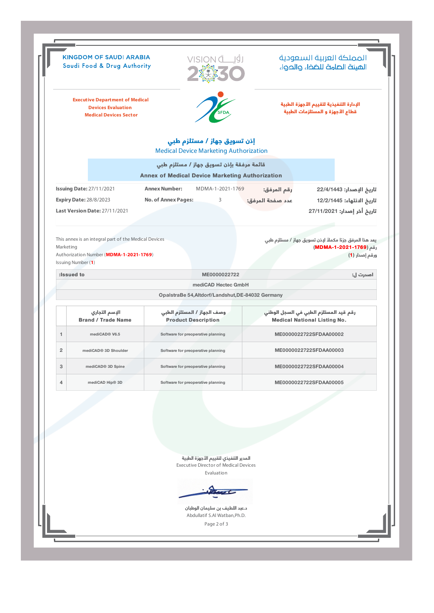|                | <b>KINGDOM OF SAUDI ARABIA</b><br>Saudi Food & Drug Authority                                                          |                                                                                                     | المملكة العربية السعودية<br>الهيئة الصامة للضخاء والحواء                                                                |
|----------------|------------------------------------------------------------------------------------------------------------------------|-----------------------------------------------------------------------------------------------------|-------------------------------------------------------------------------------------------------------------------------|
|                | <b>Executive Department of Medical</b><br><b>Devices Evaluation</b><br><b>Medical Devices Sector</b>                   |                                                                                                     | الإدارة التنفيذية لتقييم الأجهزة الطبية<br>قطاع الأجهزة و المستلزمات الطبية                                             |
|                |                                                                                                                        | إذن تسويق جهاز / مستلزم طبي<br><b>Medical Device Marketing Authorization</b>                        |                                                                                                                         |
|                |                                                                                                                        | قائمة مرفقة بإذن تسويق جهاز / مستلزم طبي<br><b>Annex of Medical Device Marketing Authorization</b>  |                                                                                                                         |
|                | <b>Issuing Date: 27/11/2021</b><br><b>Expiry Date: 28/8/2023</b><br><b>Last Version Date: 27/11/2021</b>               | <b>Annex Number:</b><br>MDMA-1-2021-1769<br><b>No. of Annex Pages:</b><br>3                         | تاريخ الإصدار: 22/4/1443<br>رقم المرفق:<br>عدد صفحة المرفق:<br>تاريخ الانتهاء: 12/2/1445<br>تاريخ أخر إصدار: 27/11/2021 |
| Marketing      | This annex is an integral part of the Medical Devices<br>Authorization Number (MDMA-1-2021-1769)<br>Issuing Number (1) |                                                                                                     | يعد هذا المرفق جزءًا مكملاً لإذن تسويق جهاز / مستلزم طبي<br>رقم (MDMA-1-2021-1769)<br>ورقم إصدار (1)                    |
|                | :Issued to                                                                                                             | ME0000022722                                                                                        | اصدرت ل:                                                                                                                |
|                |                                                                                                                        | mediCAD Hectec GmbH                                                                                 |                                                                                                                         |
|                |                                                                                                                        | OpalstraBe 54, Altdorf/Landshut, DE-84032 Germany                                                   |                                                                                                                         |
|                | الإسم التجاري<br><b>Brand / Trade Name</b>                                                                             | وصف الجهاز / المستلزم الطبي<br><b>Product Description</b>                                           | رقم قيد المستلزم الطبي في السجل الوطني<br><b>Medical National Listing No.</b>                                           |
|                |                                                                                                                        |                                                                                                     |                                                                                                                         |
| $\mathbf{1}$   | mediCAD® V6.5                                                                                                          | Software for preoperative planning                                                                  | ME0000022722SFDAA00002                                                                                                  |
| $\overline{2}$ | mediCAD® 3D Shoulder                                                                                                   | Software for preoperative planning                                                                  | ME0000022722SFDAA00003                                                                                                  |
| 3              | mediCAD <sup>®</sup> 3D Spine                                                                                          | Software for preoperative planning                                                                  | ME0000022722SFDAA00004                                                                                                  |
| 4              | mediCAD Hip® 3D                                                                                                        | Software for preoperative planning                                                                  | ME0000022722SFDAA00005                                                                                                  |
|                |                                                                                                                        |                                                                                                     |                                                                                                                         |
|                |                                                                                                                        | المدير التنفيذي لتقييم الأجهزة الطبية<br><b>Executive Director of Medical Devices</b><br>Evaluation |                                                                                                                         |
|                |                                                                                                                        | د.عبد اللطيف بن سليمان الوطبان<br>Abdullatif S.Al Watban, Ph.D.                                     |                                                                                                                         |